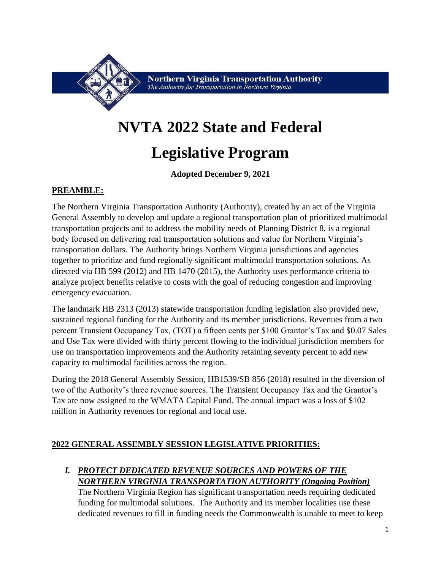

**Northern Virginia Transportation Authority** The Authority for Transportation in Northern Virginia

# **NVTA 2022 State and Federal**

## **Legislative Program**

**Adopted December 9, 2021**

#### **PREAMBLE:**

The Northern Virginia Transportation Authority (Authority), created by an act of the Virginia General Assembly to develop and update a regional transportation plan of prioritized multimodal transportation projects and to address the mobility needs of Planning District 8, is a regional body focused on delivering real transportation solutions and value for Northern Virginia's transportation dollars. The Authority brings Northern Virginia jurisdictions and agencies together to prioritize and fund regionally significant multimodal transportation solutions. As directed via HB 599 (2012) and HB 1470 (2015), the Authority uses performance criteria to analyze project benefits relative to costs with the goal of reducing congestion and improving emergency evacuation.

The landmark HB 2313 (2013) statewide transportation funding legislation also provided new, sustained regional funding for the Authority and its member jurisdictions. Revenues from a two percent Transient Occupancy Tax, (TOT) a fifteen cents per \$100 Grantor's Tax and \$0.07 Sales and Use Tax were divided with thirty percent flowing to the individual jurisdiction members for use on transportation improvements and the Authority retaining seventy percent to add new capacity to multimodal facilities across the region.

During the 2018 General Assembly Session, HB1539/SB 856 (2018) resulted in the diversion of two of the Authority's three revenue sources. The Transient Occupancy Tax and the Grantor's Tax are now assigned to the WMATA Capital Fund. The annual impact was a loss of \$102 million in Authority revenues for regional and local use.

#### **2022 GENERAL ASSEMBLY SESSION LEGISLATIVE PRIORITIES:**

### *I. PROTECT DEDICATED REVENUE SOURCES AND POWERS OF THE NORTHERN VIRGINIA TRANSPORTATION AUTHORITY (Ongoing Position)*

The Northern Virginia Region has significant transportation needs requiring dedicated funding for multimodal solutions. The Authority and its member localities use these dedicated revenues to fill in funding needs the Commonwealth is unable to meet to keep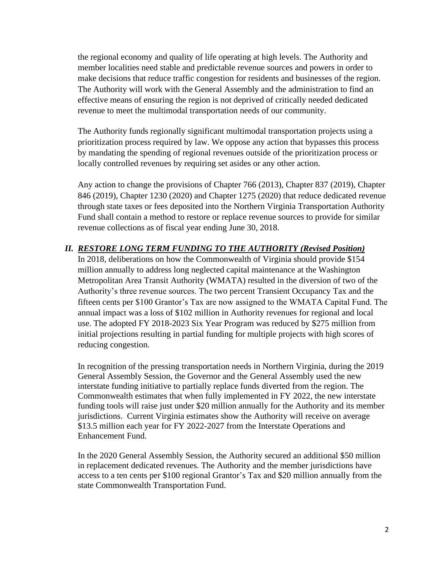the regional economy and quality of life operating at high levels. The Authority and member localities need stable and predictable revenue sources and powers in order to make decisions that reduce traffic congestion for residents and businesses of the region. The Authority will work with the General Assembly and the administration to find an effective means of ensuring the region is not deprived of critically needed dedicated revenue to meet the multimodal transportation needs of our community.

The Authority funds regionally significant multimodal transportation projects using a prioritization process required by law. We oppose any action that bypasses this process by mandating the spending of regional revenues outside of the prioritization process or locally controlled revenues by requiring set asides or any other action.

Any action to change the provisions of Chapter 766 (2013), Chapter 837 (2019), Chapter 846 (2019), Chapter 1230 (2020) and Chapter 1275 (2020) that reduce dedicated revenue through state taxes or fees deposited into the Northern Virginia Transportation Authority Fund shall contain a method to restore or replace revenue sources to provide for similar revenue collections as of fiscal year ending June 30, 2018.

#### *II. RESTORE LONG TERM FUNDING TO THE AUTHORITY (Revised Position)*

In 2018, deliberations on how the Commonwealth of Virginia should provide \$154 million annually to address long neglected capital maintenance at the Washington Metropolitan Area Transit Authority (WMATA) resulted in the diversion of two of the Authority's three revenue sources. The two percent Transient Occupancy Tax and the fifteen cents per \$100 Grantor's Tax are now assigned to the WMATA Capital Fund. The annual impact was a loss of \$102 million in Authority revenues for regional and local use. The adopted FY 2018-2023 Six Year Program was reduced by \$275 million from initial projections resulting in partial funding for multiple projects with high scores of reducing congestion.

In recognition of the pressing transportation needs in Northern Virginia, during the 2019 General Assembly Session, the Governor and the General Assembly used the new interstate funding initiative to partially replace funds diverted from the region. The Commonwealth estimates that when fully implemented in FY 2022, the new interstate funding tools will raise just under \$20 million annually for the Authority and its member jurisdictions. Current Virginia estimates show the Authority will receive on average \$13.5 million each year for FY 2022-2027 from the Interstate Operations and Enhancement Fund.

In the 2020 General Assembly Session, the Authority secured an additional \$50 million in replacement dedicated revenues. The Authority and the member jurisdictions have access to a ten cents per \$100 regional Grantor's Tax and \$20 million annually from the state Commonwealth Transportation Fund.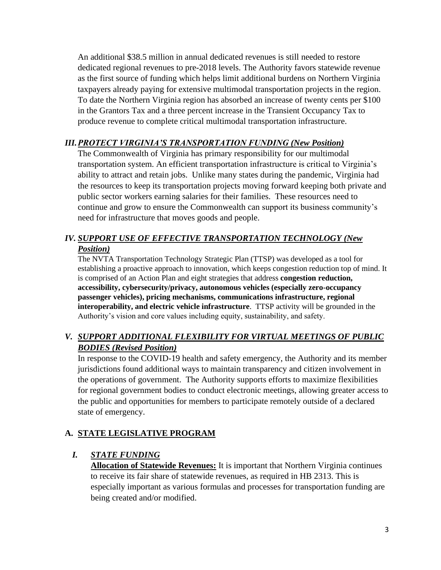An additional \$38.5 million in annual dedicated revenues is still needed to restore dedicated regional revenues to pre-2018 levels. The Authority favors statewide revenue as the first source of funding which helps limit additional burdens on Northern Virginia taxpayers already paying for extensive multimodal transportation projects in the region. To date the Northern Virginia region has absorbed an increase of twenty cents per \$100 in the Grantors Tax and a three percent increase in the Transient Occupancy Tax to produce revenue to complete critical multimodal transportation infrastructure.

#### *III.PROTECT VIRGINIA'S TRANSPORTATION FUNDING (New Position)*

The Commonwealth of Virginia has primary responsibility for our multimodal transportation system. An efficient transportation infrastructure is critical to Virginia's ability to attract and retain jobs. Unlike many states during the pandemic, Virginia had the resources to keep its transportation projects moving forward keeping both private and public sector workers earning salaries for their families. These resources need to continue and grow to ensure the Commonwealth can support its business community's need for infrastructure that moves goods and people.

#### *IV. SUPPORT USE OF EFFECTIVE TRANSPORTATION TECHNOLOGY (New Position)*

The NVTA Transportation Technology Strategic Plan (TTSP) was developed as a tool for establishing a proactive approach to innovation, which keeps congestion reduction top of mind. It is comprised of an Action Plan and eight strategies that address **congestion reduction, accessibility, cybersecurity/privacy, autonomous vehicles (especially zero-occupancy passenger vehicles), pricing mechanisms, communications infrastructure, regional interoperability, and electric vehicle infrastructure**. TTSP activity will be grounded in the Authority's vision and core values including equity, sustainability, and safety.

#### *V. SUPPORT ADDITIONAL FLEXIBILITY FOR VIRTUAL MEETINGS OF PUBLIC BODIES (Revised Position)*

In response to the COVID-19 health and safety emergency, the Authority and its member jurisdictions found additional ways to maintain transparency and citizen involvement in the operations of government. The Authority supports efforts to maximize flexibilities for regional government bodies to conduct electronic meetings, allowing greater access to the public and opportunities for members to participate remotely outside of a declared state of emergency.

#### **A. STATE LEGISLATIVE PROGRAM**

#### *I. STATE FUNDING*

**Allocation of Statewide Revenues:** It is important that Northern Virginia continues to receive its fair share of statewide revenues, as required in HB 2313. This is especially important as various formulas and processes for transportation funding are being created and/or modified.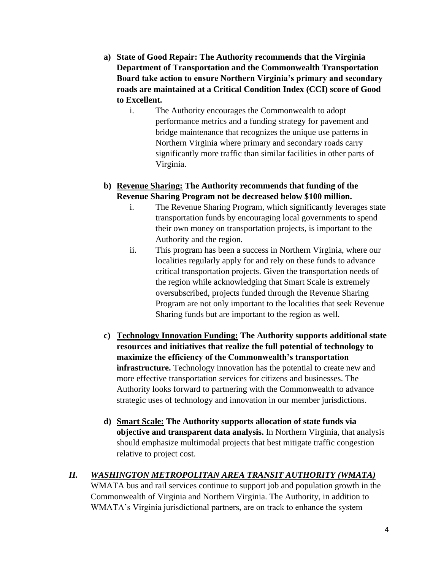- **a) State of Good Repair: The Authority recommends that the Virginia Department of Transportation and the Commonwealth Transportation Board take action to ensure Northern Virginia's primary and secondary roads are maintained at a Critical Condition Index (CCI) score of Good to Excellent.**
	- i. The Authority encourages the Commonwealth to adopt performance metrics and a funding strategy for pavement and bridge maintenance that recognizes the unique use patterns in Northern Virginia where primary and secondary roads carry significantly more traffic than similar facilities in other parts of Virginia.

#### **b) Revenue Sharing: The Authority recommends that funding of the Revenue Sharing Program not be decreased below \$100 million.**

- i. The Revenue Sharing Program, which significantly leverages state transportation funds by encouraging local governments to spend their own money on transportation projects, is important to the Authority and the region.
- ii. This program has been a success in Northern Virginia, where our localities regularly apply for and rely on these funds to advance critical transportation projects. Given the transportation needs of the region while acknowledging that Smart Scale is extremely oversubscribed, projects funded through the Revenue Sharing Program are not only important to the localities that seek Revenue Sharing funds but are important to the region as well.
- **c) Technology Innovation Funding: The Authority supports additional state resources and initiatives that realize the full potential of technology to maximize the efficiency of the Commonwealth's transportation infrastructure.** Technology innovation has the potential to create new and more effective transportation services for citizens and businesses. The Authority looks forward to partnering with the Commonwealth to advance strategic uses of technology and innovation in our member jurisdictions.
- **d) Smart Scale: The Authority supports allocation of state funds via objective and transparent data analysis.** In Northern Virginia, that analysis should emphasize multimodal projects that best mitigate traffic congestion relative to project cost.

### *II. WASHINGTON METROPOLITAN AREA TRANSIT AUTHORITY (WMATA)*

WMATA bus and rail services continue to support job and population growth in the Commonwealth of Virginia and Northern Virginia. The Authority, in addition to WMATA's Virginia jurisdictional partners, are on track to enhance the system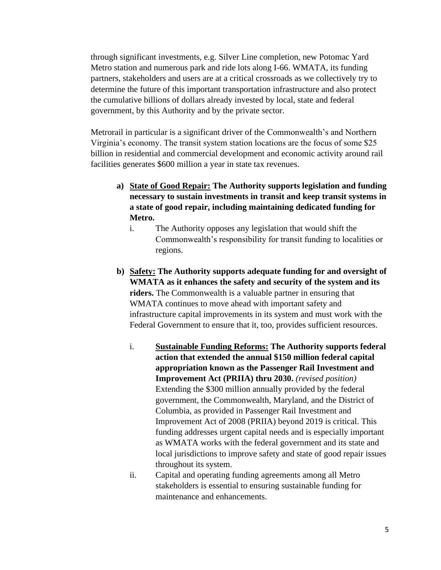through significant investments, e.g. Silver Line completion, new Potomac Yard Metro station and numerous park and ride lots along I-66. WMATA, its funding partners, stakeholders and users are at a critical crossroads as we collectively try to determine the future of this important transportation infrastructure and also protect the cumulative billions of dollars already invested by local, state and federal government, by this Authority and by the private sector.

Metrorail in particular is a significant driver of the Commonwealth's and Northern Virginia's economy. The transit system station locations are the focus of some \$25 billion in residential and commercial development and economic activity around rail facilities generates \$600 million a year in state tax revenues.

- **a) State of Good Repair: The Authority supports legislation and funding necessary to sustain investments in transit and keep transit systems in a state of good repair, including maintaining dedicated funding for Metro.**
	- i. The Authority opposes any legislation that would shift the Commonwealth's responsibility for transit funding to localities or regions.
- **b) Safety: The Authority supports adequate funding for and oversight of WMATA as it enhances the safety and security of the system and its riders.** The Commonwealth is a valuable partner in ensuring that WMATA continues to move ahead with important safety and infrastructure capital improvements in its system and must work with the Federal Government to ensure that it, too, provides sufficient resources.
	- i. **Sustainable Funding Reforms: The Authority supports federal action that extended the annual \$150 million federal capital appropriation known as the Passenger Rail Investment and Improvement Act (PRIIA) thru 2030.** *(revised position)* Extending the \$300 million annually provided by the federal government, the Commonwealth, Maryland, and the District of Columbia, as provided in Passenger Rail Investment and Improvement Act of 2008 (PRIIA) beyond 2019 is critical. This funding addresses urgent capital needs and is especially important as WMATA works with the federal government and its state and local jurisdictions to improve safety and state of good repair issues throughout its system.
	- ii. Capital and operating funding agreements among all Metro stakeholders is essential to ensuring sustainable funding for maintenance and enhancements.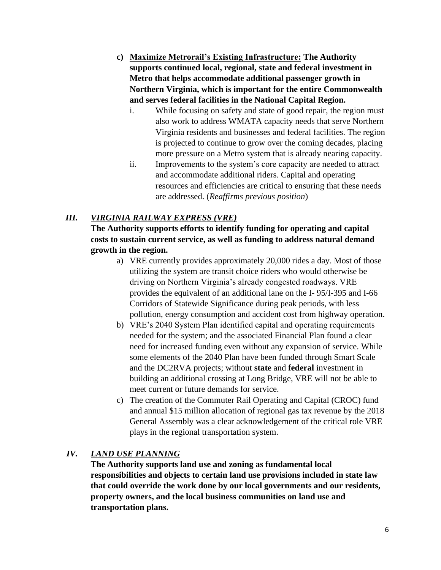- **c) Maximize Metrorail's Existing Infrastructure: The Authority supports continued local, regional, state and federal investment in Metro that helps accommodate additional passenger growth in Northern Virginia, which is important for the entire Commonwealth and serves federal facilities in the National Capital Region.**
	- i. While focusing on safety and state of good repair, the region must also work to address WMATA capacity needs that serve Northern Virginia residents and businesses and federal facilities. The region is projected to continue to grow over the coming decades, placing more pressure on a Metro system that is already nearing capacity.
	- ii. Improvements to the system's core capacity are needed to attract and accommodate additional riders. Capital and operating resources and efficiencies are critical to ensuring that these needs are addressed. (*Reaffirms previous position*)

#### *III. VIRGINIA RAILWAY EXPRESS (VRE)*

**The Authority supports efforts to identify funding for operating and capital costs to sustain current service, as well as funding to address natural demand growth in the region.**

- a) VRE currently provides approximately 20,000 rides a day. Most of those utilizing the system are transit choice riders who would otherwise be driving on Northern Virginia's already congested roadways. VRE provides the equivalent of an additional lane on the I- 95/I-395 and I-66 Corridors of Statewide Significance during peak periods, with less pollution, energy consumption and accident cost from highway operation.
- b) VRE's 2040 System Plan identified capital and operating requirements needed for the system; and the associated Financial Plan found a clear need for increased funding even without any expansion of service. While some elements of the 2040 Plan have been funded through Smart Scale and the DC2RVA projects; without **state** and **federal** investment in building an additional crossing at Long Bridge, VRE will not be able to meet current or future demands for service.
- c) The creation of the Commuter Rail Operating and Capital (CROC) fund and annual \$15 million allocation of regional gas tax revenue by the 2018 General Assembly was a clear acknowledgement of the critical role VRE plays in the regional transportation system.

#### *IV. LAND USE PLANNING*

**The Authority supports land use and zoning as fundamental local responsibilities and objects to certain land use provisions included in state law that could override the work done by our local governments and our residents, property owners, and the local business communities on land use and transportation plans.**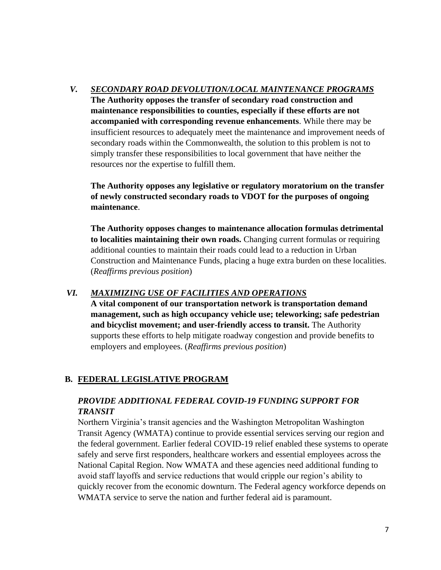#### *V. SECONDARY ROAD DEVOLUTION/LOCAL MAINTENANCE PROGRAMS*

**The Authority opposes the transfer of secondary road construction and maintenance responsibilities to counties, especially if these efforts are not accompanied with corresponding revenue enhancements**. While there may be insufficient resources to adequately meet the maintenance and improvement needs of secondary roads within the Commonwealth, the solution to this problem is not to simply transfer these responsibilities to local government that have neither the resources nor the expertise to fulfill them.

**The Authority opposes any legislative or regulatory moratorium on the transfer of newly constructed secondary roads to VDOT for the purposes of ongoing maintenance**.

**The Authority opposes changes to maintenance allocation formulas detrimental to localities maintaining their own roads.** Changing current formulas or requiring additional counties to maintain their roads could lead to a reduction in Urban Construction and Maintenance Funds, placing a huge extra burden on these localities. (*Reaffirms previous position*)

#### *VI. MAXIMIZING USE OF FACILITIES AND OPERATIONS*

**A vital component of our transportation network is transportation demand management, such as high occupancy vehicle use; teleworking; safe pedestrian and bicyclist movement; and user-friendly access to transit.** The Authority supports these efforts to help mitigate roadway congestion and provide benefits to employers and employees. (*Reaffirms previous position*)

#### **B. FEDERAL LEGISLATIVE PROGRAM**

#### *PROVIDE ADDITIONAL FEDERAL COVID-19 FUNDING SUPPORT FOR TRANSIT*

Northern Virginia's transit agencies and the Washington Metropolitan Washington Transit Agency (WMATA) continue to provide essential services serving our region and the federal government. Earlier federal COVID-19 relief enabled these systems to operate safely and serve first responders, healthcare workers and essential employees across the National Capital Region. Now WMATA and these agencies need additional funding to avoid staff layoffs and service reductions that would cripple our region's ability to quickly recover from the economic downturn. The Federal agency workforce depends on WMATA service to serve the nation and further federal aid is paramount.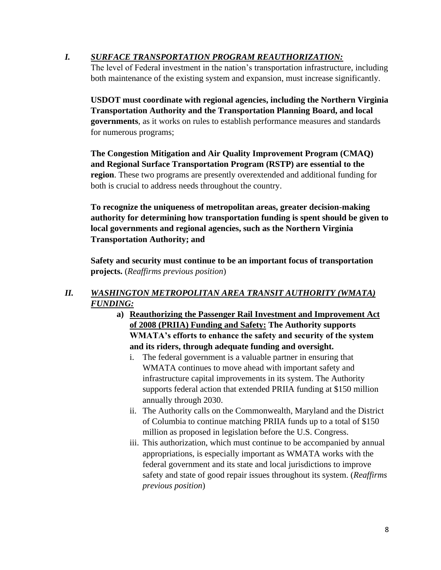#### *I. SURFACE TRANSPORTATION PROGRAM REAUTHORIZATION:*

The level of Federal investment in the nation's transportation infrastructure, including both maintenance of the existing system and expansion, must increase significantly.

**USDOT must coordinate with regional agencies, including the Northern Virginia Transportation Authority and the Transportation Planning Board, and local governments**, as it works on rules to establish performance measures and standards for numerous programs;

**The Congestion Mitigation and Air Quality Improvement Program (CMAQ) and Regional Surface Transportation Program (RSTP) are essential to the region**. These two programs are presently overextended and additional funding for both is crucial to address needs throughout the country.

**To recognize the uniqueness of metropolitan areas, greater decision-making authority for determining how transportation funding is spent should be given to local governments and regional agencies, such as the Northern Virginia Transportation Authority; and**

**Safety and security must continue to be an important focus of transportation projects.** (*Reaffirms previous position*)

#### *II. WASHINGTON METROPOLITAN AREA TRANSIT AUTHORITY (WMATA) FUNDING:*

- **a) Reauthorizing the Passenger Rail Investment and Improvement Act of 2008 (PRIIA) Funding and Safety: The Authority supports WMATA's efforts to enhance the safety and security of the system and its riders, through adequate funding and oversight.**
	- i. The federal government is a valuable partner in ensuring that WMATA continues to move ahead with important safety and infrastructure capital improvements in its system. The Authority supports federal action that extended PRIIA funding at \$150 million annually through 2030.
	- ii. The Authority calls on the Commonwealth, Maryland and the District of Columbia to continue matching PRIIA funds up to a total of \$150 million as proposed in legislation before the U.S. Congress.
	- iii. This authorization, which must continue to be accompanied by annual appropriations, is especially important as WMATA works with the federal government and its state and local jurisdictions to improve safety and state of good repair issues throughout its system. (*Reaffirms previous position*)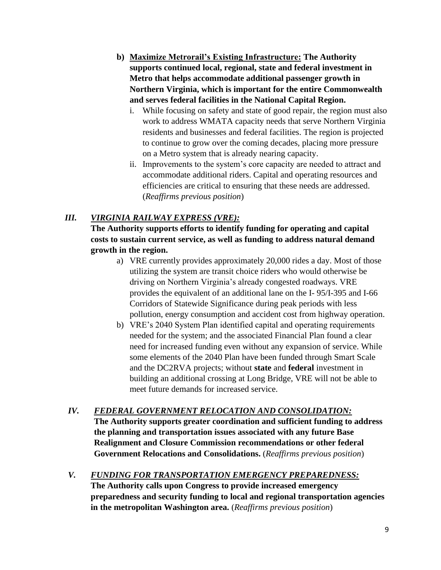- **b) Maximize Metrorail's Existing Infrastructure: The Authority supports continued local, regional, state and federal investment in Metro that helps accommodate additional passenger growth in Northern Virginia, which is important for the entire Commonwealth and serves federal facilities in the National Capital Region.**
	- i. While focusing on safety and state of good repair, the region must also work to address WMATA capacity needs that serve Northern Virginia residents and businesses and federal facilities. The region is projected to continue to grow over the coming decades, placing more pressure on a Metro system that is already nearing capacity.
	- ii. Improvements to the system's core capacity are needed to attract and accommodate additional riders. Capital and operating resources and efficiencies are critical to ensuring that these needs are addressed. (*Reaffirms previous position*)

#### *III. VIRGINIA RAILWAY EXPRESS (VRE):*

**The Authority supports efforts to identify funding for operating and capital costs to sustain current service, as well as funding to address natural demand growth in the region.**

- a) VRE currently provides approximately 20,000 rides a day. Most of those utilizing the system are transit choice riders who would otherwise be driving on Northern Virginia's already congested roadways. VRE provides the equivalent of an additional lane on the I- 95/I-395 and I-66 Corridors of Statewide Significance during peak periods with less pollution, energy consumption and accident cost from highway operation.
- b) VRE's 2040 System Plan identified capital and operating requirements needed for the system; and the associated Financial Plan found a clear need for increased funding even without any expansion of service. While some elements of the 2040 Plan have been funded through Smart Scale and the DC2RVA projects; without **state** and **federal** investment in building an additional crossing at Long Bridge, VRE will not be able to meet future demands for increased service.

## *IV. FEDERAL GOVERNMENT RELOCATION AND CONSOLIDATION:*

**The Authority supports greater coordination and sufficient funding to address the planning and transportation issues associated with any future Base Realignment and Closure Commission recommendations or other federal Government Relocations and Consolidations.** (*Reaffirms previous position*)

*V. FUNDING FOR TRANSPORTATION EMERGENCY PREPAREDNESS:* **The Authority calls upon Congress to provide increased emergency preparedness and security funding to local and regional transportation agencies in the metropolitan Washington area.** (*Reaffirms previous position*)